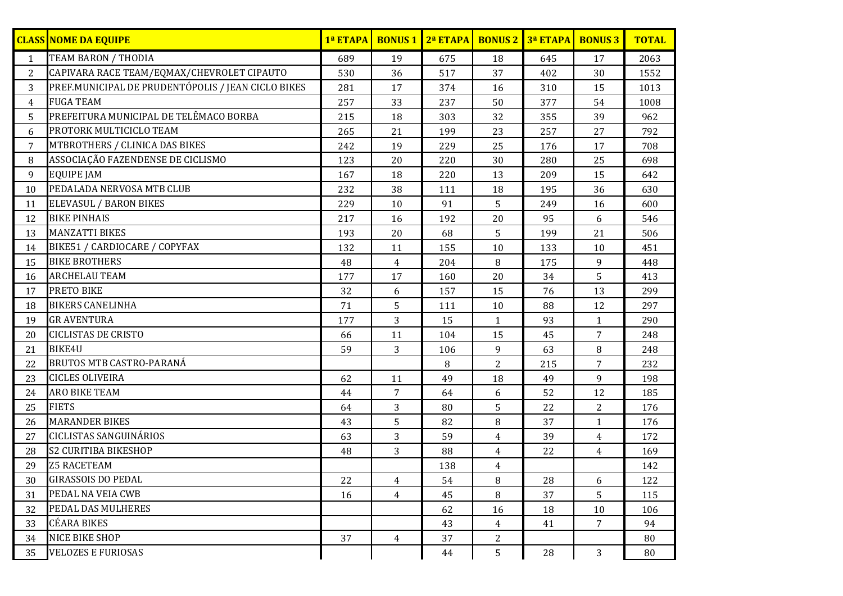|                | <b>CLASS NOME DA EQUIPE</b>                        | 1ª ETAPA |                | <b>BONUS 1 2ª ETAPA</b> |                | <b>BONUS 2 3ª ETAPA</b> | <b>BONUS3</b>  | <b>TOTAL</b> |
|----------------|----------------------------------------------------|----------|----------------|-------------------------|----------------|-------------------------|----------------|--------------|
| 1              | <b>TEAM BARON / THODIA</b>                         | 689      | 19             | 675                     | 18             | 645                     | 17             | 2063         |
| 2              | CAPIVARA RACE TEAM/EQMAX/CHEVROLET CIPAUTO         | 530      | 36             | 517                     | 37             | 402                     | 30             | 1552         |
| 3              | PREF.MUNICIPAL DE PRUDENTÓPOLIS / JEAN CICLO BIKES | 281      | 17             | 374                     | 16             | 310                     | 15             | 1013         |
| $\overline{4}$ | <b>FUGA TEAM</b>                                   | 257      | 33             | 237                     | 50             | 377                     | 54             | 1008         |
| 5              | PREFEITURA MUNICIPAL DE TELÊMACO BORBA             | 215      | 18             | 303                     | 32             | 355                     | 39             | 962          |
| 6              | PROTORK MULTICICLO TEAM                            | 265      | 21             | 199                     | 23             | 257                     | 27             | 792          |
| 7              | MTBROTHERS / CLINICA DAS BIKES                     | 242      | 19             | 229                     | 25             | 176                     | 17             | 708          |
| 8              | ASSOCIAÇÃO FAZENDENSE DE CICLISMO                  | 123      | 20             | 220                     | 30             | 280                     | 25             | 698          |
| 9              | <b>EQUIPE JAM</b>                                  | 167      | 18             | 220                     | 13             | 209                     | 15             | 642          |
| 10             | PEDALADA NERVOSA MTB CLUB                          | 232      | 38             | 111                     | 18             | 195                     | 36             | 630          |
| 11             | <b>ELEVASUL / BARON BIKES</b>                      | 229      | 10             | 91                      | 5              | 249                     | 16             | 600          |
| 12             | <b>BIKE PINHAIS</b>                                | 217      | 16             | 192                     | 20             | 95                      | 6              | 546          |
| 13             | <b>MANZATTI BIKES</b>                              | 193      | 20             | 68                      | 5              | 199                     | 21             | 506          |
| 14             | BIKE51 / CARDIOCARE / COPYFAX                      | 132      | 11             | 155                     | 10             | 133                     | $10\,$         | 451          |
| 15             | <b>BIKE BROTHERS</b>                               | 48       | $\overline{4}$ | 204                     | 8              | 175                     | 9              | 448          |
| 16             | <b>ARCHELAU TEAM</b>                               | 177      | 17             | 160                     | 20             | 34                      | 5              | 413          |
| 17             | PRETO BIKE                                         | 32       | 6              | 157                     | 15             | 76                      | 13             | 299          |
| 18             | <b>BIKERS CANELINHA</b>                            | 71       | 5              | 111                     | 10             | 88                      | 12             | 297          |
| 19             | <b>GRAVENTURA</b>                                  | 177      | 3              | 15                      | $\mathbf{1}$   | 93                      | $\mathbf{1}$   | 290          |
| 20             | <b>CICLISTAS DE CRISTO</b>                         | 66       | 11             | 104                     | 15             | 45                      | 7              | 248          |
| 21             | <b>BIKE4U</b>                                      | 59       | 3              | 106                     | 9              | 63                      | 8              | 248          |
| 22             | <b>BRUTOS MTB CASTRO-PARANÁ</b>                    |          |                | 8                       | $\overline{2}$ | 215                     | $\overline{7}$ | 232          |
| 23             | <b>CICLES OLIVEIRA</b>                             | 62       | 11             | 49                      | 18             | 49                      | 9              | 198          |
| 24             | <b>ARO BIKE TEAM</b>                               | 44       | $\overline{7}$ | 64                      | 6              | 52                      | 12             | 185          |
| 25             | <b>FIETS</b>                                       | 64       | 3              | 80                      | 5              | 22                      | $\overline{2}$ | 176          |
| 26             | <b>MARANDER BIKES</b>                              | 43       | 5              | 82                      | 8              | 37                      | $\mathbf{1}$   | 176          |
| 27             | <b>CICLISTAS SANGUINÁRIOS</b>                      | 63       | 3              | 59                      | $\overline{4}$ | 39                      | $\overline{4}$ | 172          |
| 28             | <b>S2 CURITIBA BIKESHOP</b>                        | 48       | 3              | 88                      | 4              | 22                      | 4              | 169          |
| 29             | <b>Z5 RACETEAM</b>                                 |          |                | 138                     | 4              |                         |                | 142          |
| 30             | <b>GIRASSOIS DO PEDAL</b>                          | 22       | $\overline{4}$ | 54                      | 8              | 28                      | 6              | 122          |
| 31             | PEDAL NA VEIA CWB                                  | 16       | $\overline{4}$ | 45                      | 8              | 37                      | 5              | 115          |
| 32             | PEDAL DAS MULHERES                                 |          |                | 62                      | 16             | 18                      | 10             | 106          |
| 33             | <b>CÉARA BIKES</b>                                 |          |                | 43                      | $\overline{4}$ | 41                      | 7              | 94           |
| 34             | NICE BIKE SHOP                                     | 37       | $\overline{4}$ | 37                      | $\overline{2}$ |                         |                | 80           |
| 35             | <b>VELOZES E FURIOSAS</b>                          |          |                | 44                      | 5              | 28                      | 3              | 80           |